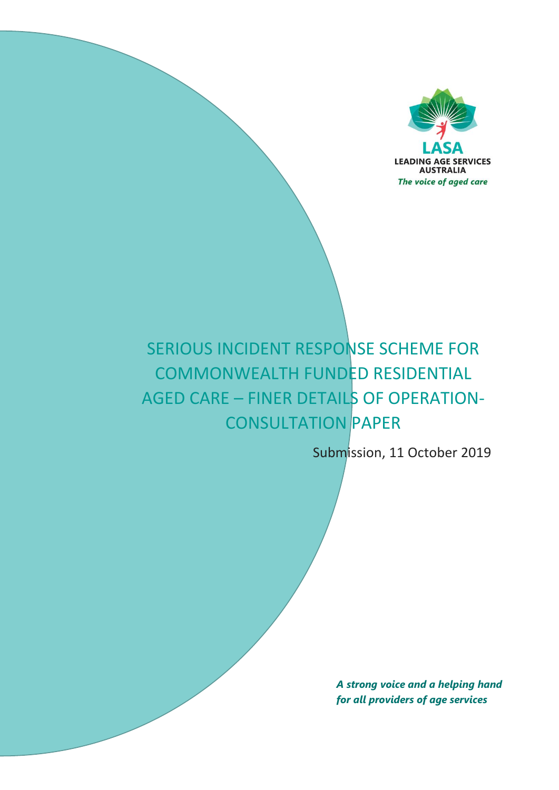

# SERIOUS INCIDENT RESPONSE SCHEME FOR COMMONWEALTH FUNDED RESIDENTIAL AGED CARE - FINER DETAILS OF OPERATION-CONSULTATION!PAPER

Submission, 11 October 2019

*A strong voice and a helping hand for all providers of age services*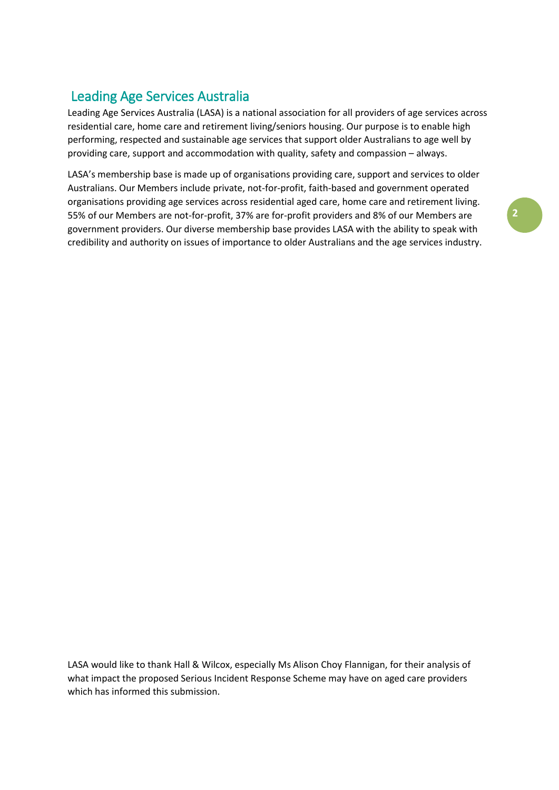# Leading Age Services Australia

Leading Age Services Australia (LASA) is a national association for all providers of age services across residential care, home care and retirement living/seniors housing. Our purpose is to enable high performing, respected and sustainable age services that support older Australians to age well by providing care, support and accommodation with quality, safety and compassion – always.

LASA's membership base is made up of organisations providing care, support and services to older Australians. Our Members include private, not-for-profit, faith-based and government operated organisations providing age services across residential aged care, home care and retirement living. 55% of our Members are not-for-profit, 37% are for-profit providers and 8% of our Members are government providers. Our diverse membership base provides LASA with the ability to speak with credibility and authority on issues of importance to older Australians and the age services industry.

LASA would like to thank Hall & Wilcox, especially Ms Alison Choy Flannigan, for their analysis of what impact the proposed Serious Incident Response Scheme may have on aged care providers which has informed this submission.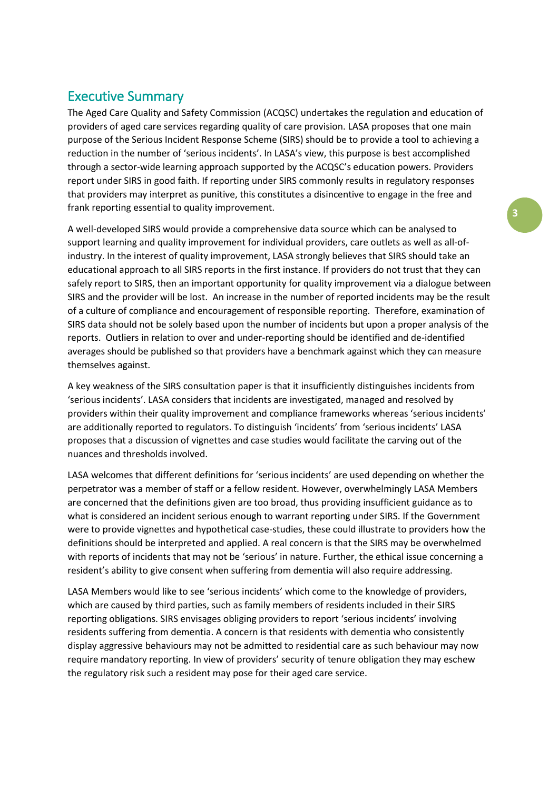# **Executive Summary**

The Aged Care Quality and Safety Commission (ACQSC) undertakes the regulation and education of providers of aged care services regarding quality of care provision. LASA proposes that one main purpose of the Serious Incident Response Scheme (SIRS) should be to provide a tool to achieving a reduction in the number of 'serious incidents'. In LASA's view, this purpose is best accomplished through a sector-wide learning approach supported by the ACQSC's education powers. Providers report under SIRS in good faith. If reporting under SIRS commonly results in regulatory responses that providers may interpret as punitive, this constitutes a disincentive to engage in the free and frank reporting essential to quality improvement.

A well-developed SIRS would provide a comprehensive data source which can be analysed to support learning and quality improvement for individual providers, care outlets as well as all-ofindustry. In the interest of quality improvement, LASA strongly believes that SIRS should take an educational approach to all SIRS reports in the first instance. If providers do not trust that they can safely report to SIRS, then an important opportunity for quality improvement via a dialogue between SIRS and the provider will be lost. An increase in the number of reported incidents may be the result of a culture of compliance and encouragement of responsible reporting. Therefore, examination of SIRS data should not be solely based upon the number of incidents but upon a proper analysis of the reports. Outliers in relation to over and under-reporting should be identified and de-identified averages should be published so that providers have a benchmark against which they can measure themselves against.

A key weakness of the SIRS consultation paper is that it insufficiently distinguishes incidents from 'serious incidents'. LASA considers that incidents are investigated, managed and resolved by providers within their quality improvement and compliance frameworks whereas 'serious incidents' are additionally reported to regulators. To distinguish 'incidents' from 'serious incidents' LASA proposes that a discussion of vignettes and case studies would facilitate the carving out of the nuances and thresholds involved.

LASA welcomes that different definitions for 'serious incidents' are used depending on whether the perpetrator was a member of staff or a fellow resident. However, overwhelmingly LASA Members are concerned that the definitions given are too broad, thus providing insufficient guidance as to what is considered an incident serious enough to warrant reporting under SIRS. If the Government were to provide vignettes and hypothetical case-studies, these could illustrate to providers how the definitions should be interpreted and applied. A real concern is that the SIRS may be overwhelmed with reports of incidents that may not be 'serious' in nature. Further, the ethical issue concerning a resident's ability to give consent when suffering from dementia will also require addressing.

LASA Members would like to see 'serious incidents' which come to the knowledge of providers, which are caused by third parties, such as family members of residents included in their SIRS reporting obligations. SIRS envisages obliging providers to report 'serious incidents' involving residents suffering from dementia. A concern is that residents with dementia who consistently display aggressive behaviours may not be admitted to residential care as such behaviour may now require mandatory reporting. In view of providers' security of tenure obligation they may eschew the regulatory risk such a resident may pose for their aged care service.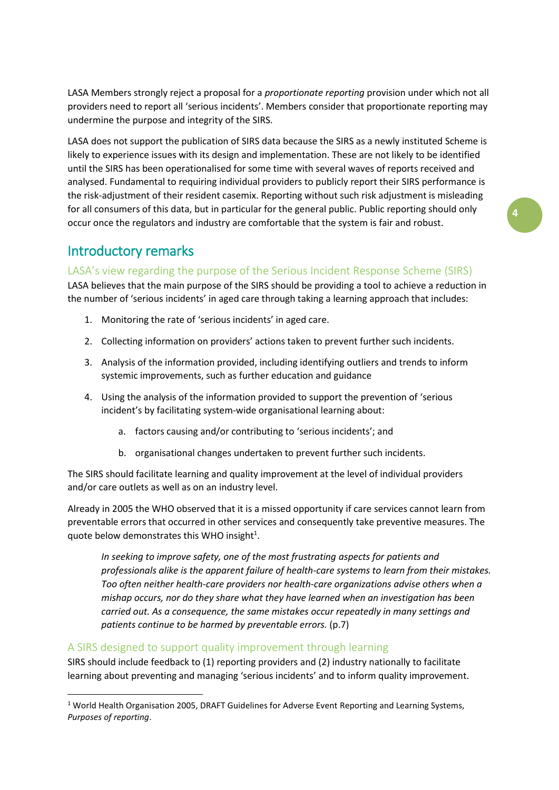LASA Members strongly reject a proposal for a *proportionate reporting* provision under which not all providers need to report all 'serious incidents'. Members consider that proportionate reporting may undermine the purpose and integrity of the SIRS.

LASA does not support the publication of SIRS data because the SIRS as a newly instituted Scheme is likely to experience issues with its design and implementation. These are not likely to be identified until the SIRS has been operationalised for some time with several waves of reports received and analysed. Fundamental to requiring individual providers to publicly report their SIRS performance is the risk-adjustment of their resident casemix. Reporting without such risk adjustment is misleading for all consumers of this data, but in particular for the general public. Public reporting should only occur once the regulators and industry are comfortable that the system is fair and robust.

**4**

# Introductory remarks

!!!!!!!!!!!!!!!!!!!!!!!!!!!!!!!!!!!!!!!!!!!!!!!!!!!!!!!!!!

# LASA's view regarding the purpose of the Serious Incident Response Scheme (SIRS)

LASA believes that the main purpose of the SIRS should be providing a tool to achieve a reduction in the number of 'serious incidents' in aged care through taking a learning approach that includes:

- 1. Monitoring the rate of 'serious incidents' in aged care.
- 2. Collecting information on providers' actions taken to prevent further such incidents.
- 3. Analysis of the information provided, including identifying outliers and trends to inform systemic improvements, such as further education and guidance
- 4. Using the analysis of the information provided to support the prevention of 'serious incident's by facilitating system-wide organisational learning about:
	- a. factors causing and/or contributing to 'serious incidents'; and
	- b. organisational changes undertaken to prevent further such incidents.

The SIRS should facilitate learning and quality improvement at the level of individual providers and/or care outlets as well as on an industry level.

Already in 2005 the WHO observed that it is a missed opportunity if care services cannot learn from preventable errors that occurred in other services and consequently take preventive measures. The quote below demonstrates this WHO insight<sup>1</sup>.

*In seeking to improve safety, one of the most frustrating aspects for patients and* professionals alike is the apparent failure of health-care systems to learn from their mistakes. Too often neither health-care providers nor health-care organizations advise others when a *mishap)occurs,)nor)do)they)share)what)they have)learned)when)an)investigation)has)been)* carried out. As a consequence, the same mistakes occur repeatedly in many settings and *patients continue to be harmed by preventable errors.* (p.7)

# A SIRS designed to support quality improvement through learning

SIRS should include feedback to (1) reporting providers and (2) industry nationally to facilitate learning about preventing and managing 'serious incidents' and to inform quality improvement.

 $1$  World Health Organisation 2005, DRAFT Guidelines for Adverse Event Reporting and Learning Systems, *Purposes of reporting.*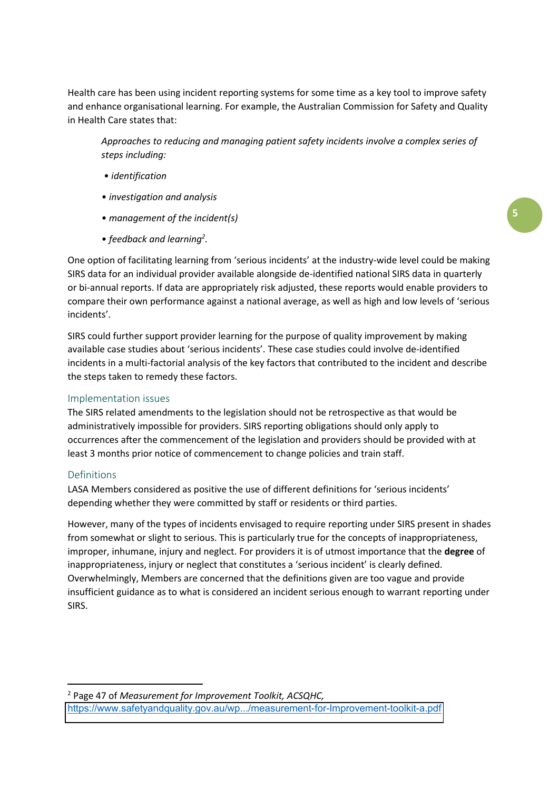Health care has been using incident reporting systems for some time as a key tool to improve safety and enhance organisational learning. For example, the Australian Commission for Safety and Quality in Health Care states that:

Approaches to reducing and managing patient safety incidents involve a complex series of *steps)including:*

- **•** *identification*
- *investigation and analysis*
- *management of the incident(s)*
- **•** feedback and learning<sup>2</sup>.

One option of facilitating learning from 'serious incidents' at the industry-wide level could be making SIRS data for an individual provider available alongside de-identified national SIRS data in quarterly or bi-annual reports. If data are appropriately risk adjusted, these reports would enable providers to compare their own performance against a national average, as well as high and low levels of 'serious incidents'.

SIRS could further support provider learning for the purpose of quality improvement by making available case studies about 'serious incidents'. These case studies could involve de-identified incidents in a multi-factorial analysis of the key factors that contributed to the incident and describe the steps taken to remedy these factors.

## Implementation issues

!!!!!!!!!!!!!!!!!!!!!!!!!!!!!!!!!!!!!!!!!!!!!!!!!!!!!!!!!!

The SIRS related amendments to the legislation should not be retrospective as that would be administratively impossible for providers. SIRS reporting obligations should only apply to occurrences after the commencement of the legislation and providers should be provided with at least 3 months prior notice of commencement to change policies and train staff.

#### Definitions

LASA Members considered as positive the use of different definitions for 'serious incidents' depending whether they were committed by staff or residents or third parties.

However, many of the types of incidents envisaged to require reporting under SIRS present in shades from somewhat or slight to serious. This is particularly true for the concepts of inappropriateness, improper, inhumane, injury and neglect. For providers it is of utmost importance that the **degree** of inappropriateness, injury or neglect that constitutes a 'serious incident' is clearly defined. Overwhelmingly, Members are concerned that the definitions given are too vague and provide insufficient guidance as to what is considered an incident serious enough to warrant reporting under SIRS.

<sup>2</sup> Page 47 of *Measurement for Improvement Toolkit, ACSQHC*, <https://www.safetyandquality.gov.au/wp.../measurement-for-Improvement-toolkit-a.pdf>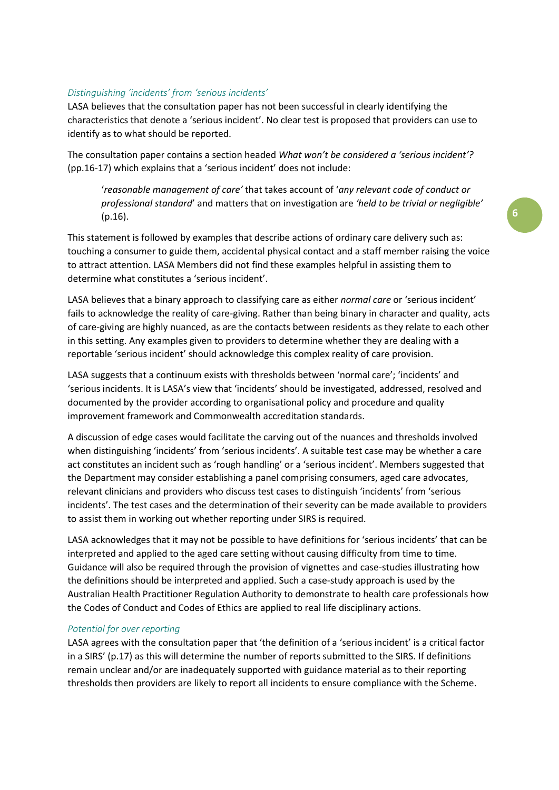#### *Distinguishing 'incidents' from 'serious incidents'*

LASA believes that the consultation paper has not been successful in clearly identifying the characteristics that denote a 'serious incident'. No clear test is proposed that providers can use to identify as to what should be reported.

The consultation paper contains a section headed *What won't be considered a 'serious incident'*? (pp.16-17) which explains that a 'serious incident' does not include:

*'reasonable management of care'* that takes account of 'any relevant code of conduct or professional standard' and matters that on investigation are 'held to be trivial or negligible'  $(p.16)$ .

This statement is followed by examples that describe actions of ordinary care delivery such as: touching a consumer to guide them, accidental physical contact and a staff member raising the voice to attract attention. LASA Members did not find these examples helpful in assisting them to determine what constitutes a 'serious incident'.

LASA believes that a binary approach to classifying care as either *normal care* or 'serious incident' fails to acknowledge the reality of care-giving. Rather than being binary in character and quality, acts of care-giving are highly nuanced, as are the contacts between residents as they relate to each other in this setting. Any examples given to providers to determine whether they are dealing with a reportable 'serious incident' should acknowledge this complex reality of care provision.

LASA suggests that a continuum exists with thresholds between 'normal care'; 'incidents' and 'serious incidents. It is LASA's view that 'incidents' should be investigated, addressed, resolved and documented by the provider according to organisational policy and procedure and quality improvement framework and Commonwealth accreditation standards.

A discussion of edge cases would facilitate the carving out of the nuances and thresholds involved when distinguishing 'incidents' from 'serious incidents'. A suitable test case may be whether a care act constitutes an incident such as 'rough handling' or a 'serious incident'. Members suggested that the Department may consider establishing a panel comprising consumers, aged care advocates, relevant clinicians and providers who discuss test cases to distinguish 'incidents' from 'serious incidents'. The test cases and the determination of their severity can be made available to providers to assist them in working out whether reporting under SIRS is required.

LASA acknowledges that it may not be possible to have definitions for 'serious incidents' that can be interpreted and applied to the aged care setting without causing difficulty from time to time. Guidance will also be required through the provision of vignettes and case-studies illustrating how the definitions should be interpreted and applied. Such a case-study approach is used by the Australian Health Practitioner Regulation Authority to demonstrate to health care professionals how the Codes of Conduct and Codes of Ethics are applied to real life disciplinary actions.

#### *Potential for over reporting*

LASA agrees with the consultation paper that 'the definition of a 'serious incident' is a critical factor in a SIRS' (p.17) as this will determine the number of reports submitted to the SIRS. If definitions remain unclear and/or are inadequately supported with guidance material as to their reporting thresholds then providers are likely to report all incidents to ensure compliance with the Scheme.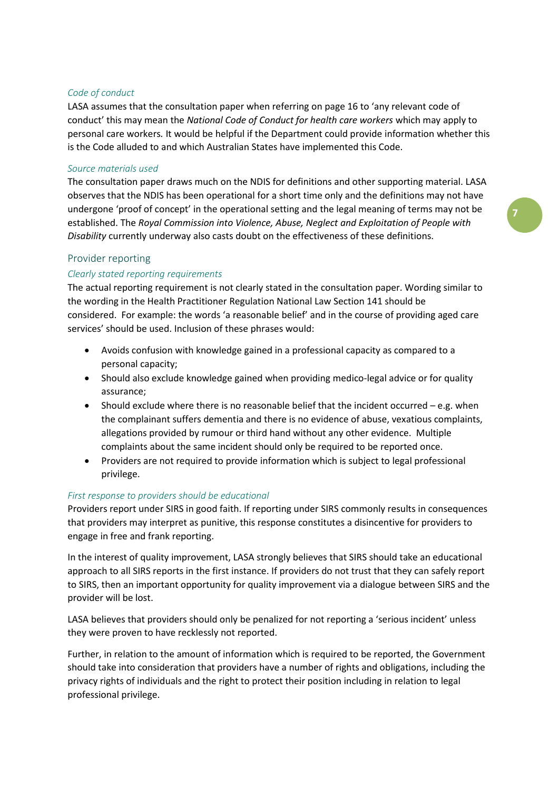#### Code of conduct

LASA assumes that the consultation paper when referring on page 16 to 'any relevant code of conduct' this may mean the National Code of Conduct for health care workers which may apply to personal care workers. It would be helpful if the Department could provide information whether this is the Code alluded to and which Australian States have implemented this Code.

#### Source materials used

The consultation paper draws much on the NDIS for definitions and other supporting material. LASA observes that the NDIS has been operational for a short time only and the definitions may not have undergone 'proof of concept' in the operational setting and the legal meaning of terms may not be established. The Royal Commission into Violence, Abuse, Neglect and Exploitation of People with Disability currently underway also casts doubt on the effectiveness of these definitions.

# Provider reporting

# Clearly stated reporting requirements

The actual reporting requirement is not clearly stated in the consultation paper. Wording similar to the wording in the Health Practitioner Regulation National Law Section 141 should be considered. For example: the words 'a reasonable belief' and in the course of providing aged care services' should be used. Inclusion of these phrases would:

- Avoids confusion with knowledge gained in a professional capacity as compared to a personal capacity;
- Should also exclude knowledge gained when providing medico-legal advice or for quality assurance:
- Should exclude where there is no reasonable belief that the incident occurred  $-e.g.$  when the complainant suffers dementia and there is no evidence of abuse, vexatious complaints, allegations provided by rumour or third hand without any other evidence. Multiple complaints about the same incident should only be required to be reported once.
- Providers are not required to provide information which is subject to legal professional  $\bullet$ privilege.

# First response to providers should be educational

Providers report under SIRS in good faith. If reporting under SIRS commonly results in consequences that providers may interpret as punitive, this response constitutes a disincentive for providers to engage in free and frank reporting.

In the interest of quality improvement, LASA strongly believes that SIRS should take an educational approach to all SIRS reports in the first instance. If providers do not trust that they can safely report to SIRS, then an important opportunity for quality improvement via a dialogue between SIRS and the provider will be lost.

LASA believes that providers should only be penalized for not reporting a 'serious incident' unless they were proven to have recklessly not reported.

Further, in relation to the amount of information which is required to be reported, the Government should take into consideration that providers have a number of rights and obligations, including the privacy rights of individuals and the right to protect their position including in relation to legal professional privilege.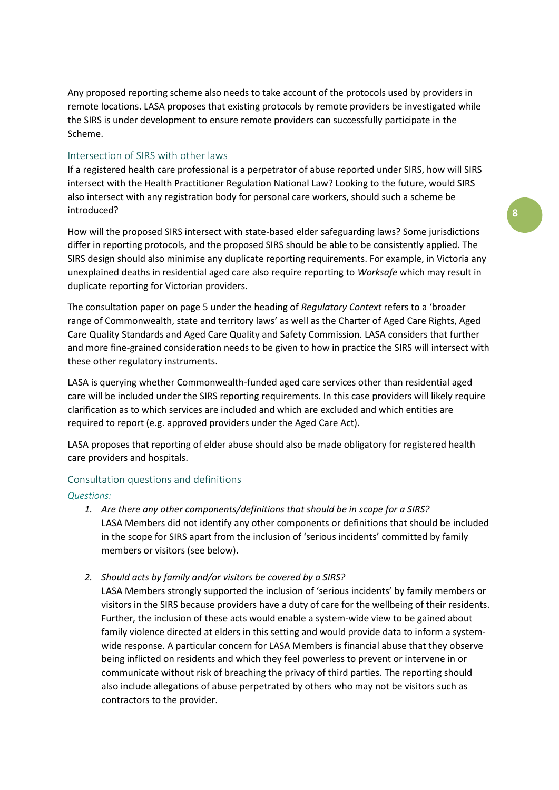Any proposed reporting scheme also needs to take account of the protocols used by providers in remote locations. LASA proposes that existing protocols by remote providers be investigated while the SIRS is under development to ensure remote providers can successfully participate in the Scheme.

### Intersection of SIRS with other laws

If a registered health care professional is a perpetrator of abuse reported under SIRS, how will SIRS intersect with the Health Practitioner Regulation National Law? Looking to the future, would SIRS also intersect with any registration body for personal care workers, should such a scheme be introduced?

How will the proposed SIRS intersect with state-based elder safeguarding laws? Some jurisdictions differ in reporting protocols, and the proposed SIRS should be able to be consistently applied. The SIRS design should also minimise any duplicate reporting requirements. For example, in Victoria any unexplained deaths in residential aged care also require reporting to *Worksafe* which may result in duplicate reporting for Victorian providers.

The consultation paper on page 5 under the heading of *Regulatory Context* refers to a 'broader range of Commonwealth, state and territory laws' as well as the Charter of Aged Care Rights, Aged Care Quality Standards and Aged Care Quality and Safety Commission. LASA considers that further and more fine-grained consideration needs to be given to how in practice the SIRS will intersect with these other regulatory instruments.

LASA is querying whether Commonwealth-funded aged care services other than residential aged care will be included under the SIRS reporting requirements. In this case providers will likely require clarification as to which services are included and which are excluded and which entities are required to report (e.g. approved providers under the Aged Care Act).

LASA proposes that reporting of elder abuse should also be made obligatory for registered health care providers and hospitals.

#### Consultation questions and definitions

#### *Questions:*

- 1. Are there any other components/definitions that should be in scope for a SIRS? LASA Members did not identify any other components or definitions that should be included in the scope for SIRS apart from the inclusion of 'serious incidents' committed by family members or visitors (see below).
- 2. Should acts by family and/or visitors be covered by a SIRS?
	- LASA Members strongly supported the inclusion of 'serious incidents' by family members or visitors in the SIRS because providers have a duty of care for the wellbeing of their residents. Further, the inclusion of these acts would enable a system-wide view to be gained about family violence directed at elders in this setting and would provide data to inform a systemwide response. A particular concern for LASA Members is financial abuse that they observe being inflicted on residents and which they feel powerless to prevent or intervene in or communicate without risk of breaching the privacy of third parties. The reporting should also include allegations of abuse perpetrated by others who may not be visitors such as contractors to the provider.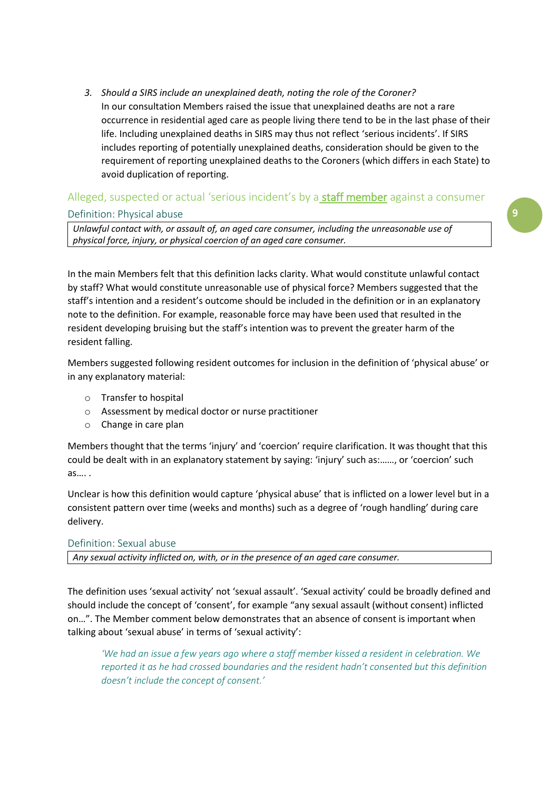3. Should a SIRS include an unexplained death, noting the role of the Coroner? In our consultation Members raised the issue that unexplained deaths are not a rare occurrence in residential aged care as people living there tend to be in the last phase of their life. Including unexplained deaths in SIRS may thus not reflect 'serious incidents'. If SIRS includes reporting of potentially unexplained deaths, consideration should be given to the requirement of reporting unexplained deaths to the Coroners (which differs in each State) to avoid duplication of reporting.

# Alleged, suspected or actual 'serious incident's by a **staff member** against a consumer Definition: Physical abuse

Unlawful contact with, or assault of, an aged care consumer, including the unreasonable use of *physical)force,)injury,)or)physical)coercion)of)an)aged)care)consumer.)*

In the main Members felt that this definition lacks clarity. What would constitute unlawful contact by staff? What would constitute unreasonable use of physical force? Members suggested that the staff's intention and a resident's outcome should be included in the definition or in an explanatory note to the definition. For example, reasonable force may have been used that resulted in the resident developing bruising but the staff's intention was to prevent the greater harm of the resident falling.

Members suggested following resident outcomes for inclusion in the definition of 'physical abuse' or in any explanatory material:

- $\circ$  Transfer to hospital
- o Assessment by medical doctor or nurse practitioner
- $\circ$  Change in care plan

Members thought that the terms 'injury' and 'coercion' require clarification. It was thought that this could be dealt with in an explanatory statement by saying: 'injury' such as:......, or 'coercion' such as....

Unclear is how this definition would capture 'physical abuse' that is inflicted on a lower level but in a consistent pattern over time (weeks and months) such as a degree of 'rough handling' during care delivery.

#### Definition: Sexual abuse

*Any)sexual)activity)inflicted)on,)with,)or)in)the)presence)of)an)aged)care)consumer.*

The definition uses 'sexual activity' not 'sexual assault'. 'Sexual activity' could be broadly defined and should include the concept of 'consent', for example "any sexual assault (without consent) inflicted on...". The Member comment below demonstrates that an absence of consent is important when talking about 'sexual abuse' in terms of 'sexual activity':

*We had an issue a few years ago where a staff member kissed a resident in celebration. We* reported it as he had crossed boundaries and the resident hadn't consented but this definition doesn't include the concept of consent.'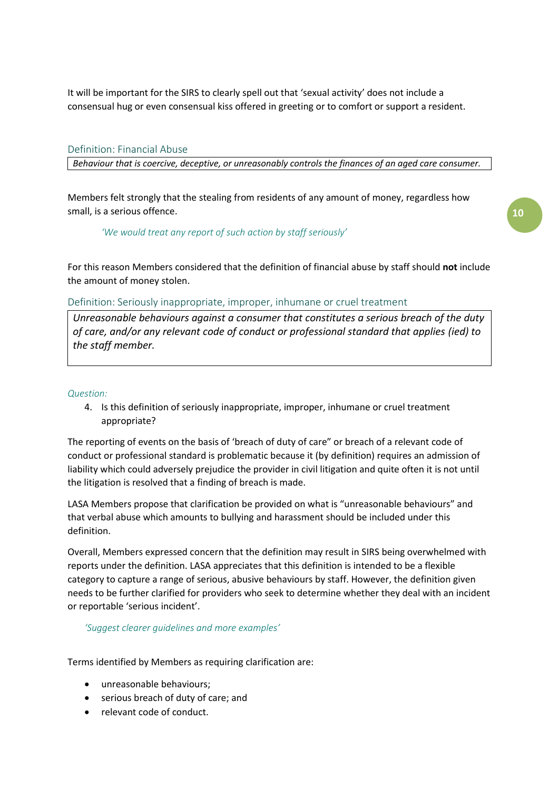It will be important for the SIRS to clearly spell out that 'sexual activity' does not include a consensual hug or even consensual kiss offered in greeting or to comfort or support a resident.

#### Definition: Financial Abuse

*Behaviour that is coercive, deceptive, or unreasonably controls the finances of an aged care consumer.* 

Members felt strongly that the stealing from residents of any amount of money, regardless how small, is a serious offence.

#### *'We would treat any report of such action by staff seriously'*

For this reason Members considered that the definition of financial abuse by staff should not include the amount of money stolen.

#### Definition: Seriously inappropriate, improper, inhumane or cruel treatment

*Unreasonable behaviours against a consumer that constitutes a serious breach of the duty of)care,)and/or)any)relevant)code)of)conduct)or)professional)standard)that)applies (ied))to)* the staff member.

#### *Question:*

4. Is this definition of seriously inappropriate, improper, inhumane or cruel treatment appropriate?

The reporting of events on the basis of 'breach of duty of care" or breach of a relevant code of conduct or professional standard is problematic because it (by definition) requires an admission of liability which could adversely prejudice the provider in civil litigation and quite often it is not until the litigation is resolved that a finding of breach is made.

LASA Members propose that clarification be provided on what is "unreasonable behaviours" and that verbal abuse which amounts to bullying and harassment should be included under this definition.

Overall, Members expressed concern that the definition may result in SIRS being overwhelmed with reports under the definition. LASA appreciates that this definition is intended to be a flexible category to capture a range of serious, abusive behaviours by staff. However, the definition given needs to be further clarified for providers who seek to determine whether they deal with an incident or reportable 'serious incident'.

#### 'Suggest clearer guidelines and more examples'

Terms identified by Members as requiring clarification are:

- unreasonable behaviours;
- serious breach of duty of care; and
- $\bullet$  relevant code of conduct.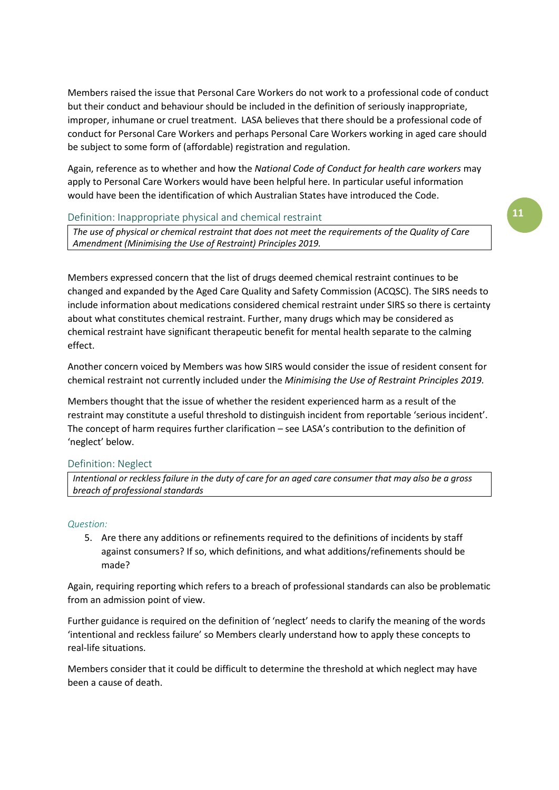Members raised the issue that Personal Care Workers do not work to a professional code of conduct but their conduct and behaviour should be included in the definition of seriously inappropriate, improper, inhumane or cruel treatment. LASA believes that there should be a professional code of conduct for Personal Care Workers and perhaps Personal Care Workers working in aged care should be subject to some form of (affordable) registration and regulation.

Again, reference as to whether and how the *National Code of Conduct for health care workers* may apply to Personal Care Workers would have been helpful here. In particular useful information would have been the identification of which Australian States have introduced the Code.

#### Definition: Inappropriate physical and chemical restraint

The use of physical or chemical restraint that does not meet the requirements of the Quality of Care Amendment (Minimising the Use of Restraint) Principles 2019.

Members expressed concern that the list of drugs deemed chemical restraint continues to be changed and expanded by the Aged Care Quality and Safety Commission (ACQSC). The SIRS needs to include information about medications considered chemical restraint under SIRS so there is certainty about what constitutes chemical restraint. Further, many drugs which may be considered as chemical restraint have significant therapeutic benefit for mental health separate to the calming effect.

Another concern voiced by Members was how SIRS would consider the issue of resident consent for chemical restraint not currently included under the *Minimising the Use of Restraint Principles 2019.* 

Members thought that the issue of whether the resident experienced harm as a result of the restraint may constitute a useful threshold to distinguish incident from reportable 'serious incident'. The concept of harm requires further clarification – see LASA's contribution to the definition of 'neglect' below.

#### Definition: Neglect

*Intentional or reckless failure in the duty of care for an aged care consumer that may also be a gross breach)of)professional)standards*

#### *Question:*

5. Are there any additions or refinements required to the definitions of incidents by staff against consumers? If so, which definitions, and what additions/refinements should be made?

Again, requiring reporting which refers to a breach of professional standards can also be problematic from an admission point of view.

Further guidance is required on the definition of 'neglect' needs to clarify the meaning of the words 'intentional and reckless failure' so Members clearly understand how to apply these concepts to real-life situations.

Members consider that it could be difficult to determine the threshold at which neglect may have been a cause of death.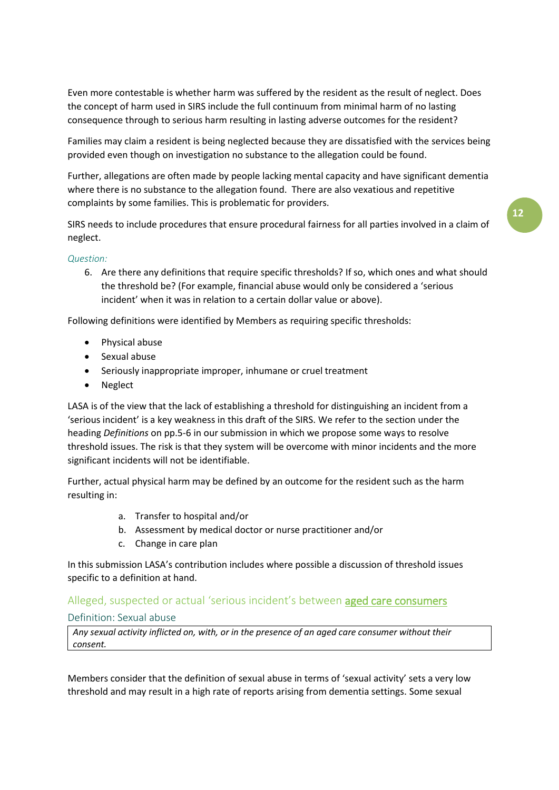Even more contestable is whether harm was suffered by the resident as the result of neglect. Does the concept of harm used in SIRS include the full continuum from minimal harm of no lasting consequence through to serious harm resulting in lasting adverse outcomes for the resident?

Families may claim a resident is being neglected because they are dissatisfied with the services being provided even though on investigation no substance to the allegation could be found.

Further, allegations are often made by people lacking mental capacity and have significant dementia where there is no substance to the allegation found. There are also vexatious and repetitive complaints by some families. This is problematic for providers.

SIRS needs to include procedures that ensure procedural fairness for all parties involved in a claim of neglect.

#### *Question:*

6. Are there any definitions that require specific thresholds? If so, which ones and what should the threshold be? (For example, financial abuse would only be considered a 'serious incident' when it was in relation to a certain dollar value or above).

Following definitions were identified by Members as requiring specific thresholds:

- Physical abuse
- $\bullet$  Sexual abuse
- Seriously inappropriate improper, inhumane or cruel treatment
- Neglect

LASA is of the view that the lack of establishing a threshold for distinguishing an incident from a 'serious incident' is a key weakness in this draft of the SIRS. We refer to the section under the heading *Definitions* on pp.5-6 in our submission in which we propose some ways to resolve threshold issues. The risk is that they system will be overcome with minor incidents and the more significant incidents will not be identifiable.

Further, actual physical harm may be defined by an outcome for the resident such as the harm resulting in:

- a. Transfer to hospital and/or
- b. Assessment by medical doctor or nurse practitioner and/or
- c. Change in care plan

In this submission LASA's contribution includes where possible a discussion of threshold issues specific to a definition at hand.

# Alleged, suspected or actual 'serious incident's between aged care consumers

#### Definition: Sexual abuse

Any sexual activity inflicted on, with, or in the presence of an aged care consumer without their *consent.*

Members consider that the definition of sexual abuse in terms of 'sexual activity' sets a very low threshold and may result in a high rate of reports arising from dementia settings. Some sexual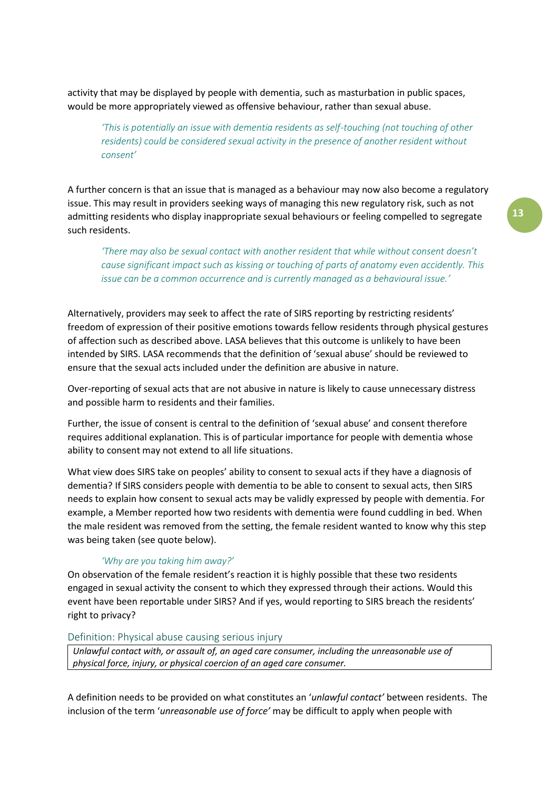activity that may be displayed by people with dementia, such as masturbation in public spaces, would be more appropriately viewed as offensive behaviour, rather than sexual abuse.

*This is potentially an issue with dementia residents as self-touching (not touching of other residents) could be considered sexual activity in the presence of another resident without consent͛*

A further concern is that an issue that is managed as a behaviour may now also become a regulatory issue. This may result in providers seeking ways of managing this new regulatory risk, such as not admitting residents who display inappropriate sexual behaviours or feeling compelled to segregate such residents.

*There may also be sexual contact with another resident that while without consent doesn't cause significant impact such as kissing or touching of parts of anatomy even accidently. This issue can be a common occurrence and is currently managed as a behavioural issue.*<sup>*'*</sup>

Alternatively, providers may seek to affect the rate of SIRS reporting by restricting residents' freedom of expression of their positive emotions towards fellow residents through physical gestures of affection such as described above. LASA believes that this outcome is unlikely to have been intended by SIRS. LASA recommends that the definition of 'sexual abuse' should be reviewed to ensure that the sexual acts included under the definition are abusive in nature.

Over-reporting of sexual acts that are not abusive in nature is likely to cause unnecessary distress and possible harm to residents and their families.

Further, the issue of consent is central to the definition of 'sexual abuse' and consent therefore requires additional explanation. This is of particular importance for people with dementia whose ability to consent may not extend to all life situations.

What view does SIRS take on peoples' ability to consent to sexual acts if they have a diagnosis of dementia? If SIRS considers people with dementia to be able to consent to sexual acts, then SIRS needs to explain how consent to sexual acts may be validly expressed by people with dementia. For example, a Member reported how two residents with dementia were found cuddling in bed. When the male resident was removed from the setting, the female resident wanted to know why this step was being taken (see quote below).

#### *'Why are you taking him away?'*

On observation of the female resident's reaction it is highly possible that these two residents engaged in sexual activity the consent to which they expressed through their actions. Would this event have been reportable under SIRS? And if yes, would reporting to SIRS breach the residents' right to privacy?

#### Definition: Physical abuse causing serious injury

Unlawful contact with, or assault of, an aged care consumer, including the unreasonable use of *physical)force,)injury,)or)physical)coercion)of)an)aged)care)consumer.*

A definition needs to be provided on what constitutes an 'unlawful contact' between residents. The inclusion of the term *'unreasonable use of force'* may be difficult to apply when people with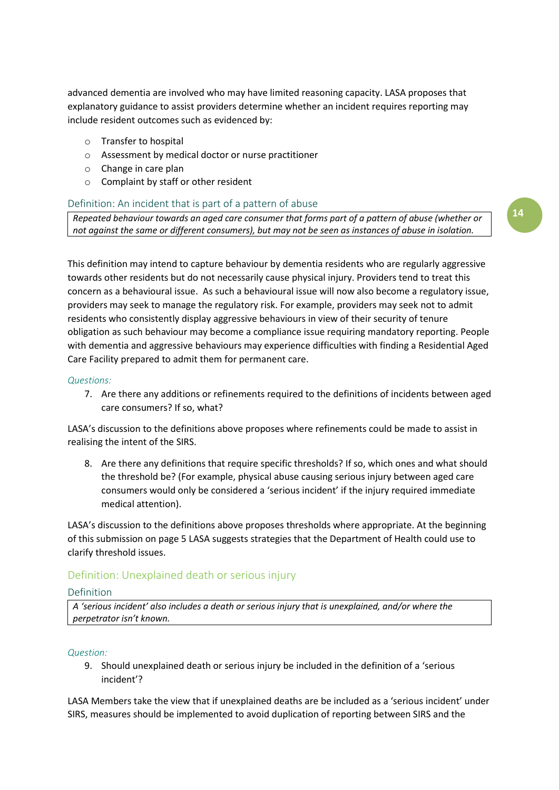advanced dementia are involved who may have limited reasoning capacity. LASA proposes that explanatory guidance to assist providers determine whether an incident requires reporting may include resident outcomes such as evidenced by:

- o Transfer to hospital
- $\circ$  Assessment by medical doctor or nurse practitioner
- $\circ$  Change in care plan
- $\circ$  Complaint by staff or other resident

#### Definition: An incident that is part of a pattern of abuse

*Repeated)behaviour)towards)an)aged)care)consumer)that)forms)part)of)a)pattern)of)abuse)(whether)or)* not against the same or different consumers), but may not be seen as instances of abuse in isolation.

This definition may intend to capture behaviour by dementia residents who are regularly aggressive towards other residents but do not necessarily cause physical injury. Providers tend to treat this concern as a behavioural issue. As such a behavioural issue will now also become a regulatory issue, providers may seek to manage the regulatory risk. For example, providers may seek not to admit residents who consistently display aggressive behaviours in view of their security of tenure obligation as such behaviour may become a compliance issue requiring mandatory reporting. People with dementia and aggressive behaviours may experience difficulties with finding a Residential Aged Care Facility prepared to admit them for permanent care.

#### *Questions:*

7. Are there any additions or refinements required to the definitions of incidents between aged care consumers? If so, what?

LASA's discussion to the definitions above proposes where refinements could be made to assist in realising the intent of the SIRS.

8. Are there any definitions that require specific thresholds? If so, which ones and what should the threshold be? (For example, physical abuse causing serious injury between aged care consumers would only be considered a 'serious incident' if the injury required immediate medical attention).

LASA's discussion to the definitions above proposes thresholds where appropriate. At the beginning of this submission on page 5 LASA suggests strategies that the Department of Health could use to clarify threshold issues.

# Definition: Unexplained death or serious injury

#### Definition

*A)͚ƐĞƌŝŽƵƐŝŶĐŝĚĞŶƚ͛ also)includes)a)death)or)serious)injury)that)is)unexplained,)and/or)where)the)* perpetrator *isn't* known.

#### *Question:*

9. Should unexplained death or serious injury be included in the definition of a 'serious incident'?

LASA Members take the view that if unexplained deaths are be included as a 'serious incident' under SIRS, measures should be implemented to avoid duplication of reporting between SIRS and the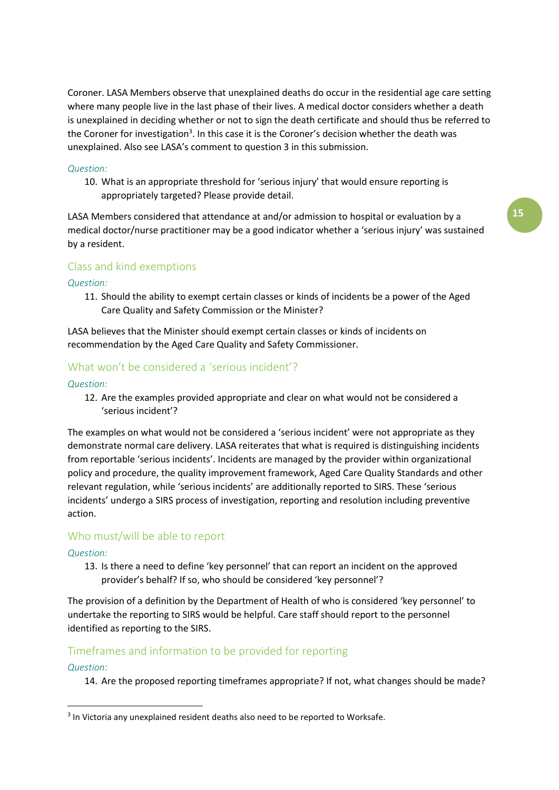Coroner. LASA Members observe that unexplained deaths do occur in the residential age care setting where many people live in the last phase of their lives. A medical doctor considers whether a death is unexplained in deciding whether or not to sign the death certificate and should thus be referred to the Coroner for investigation<sup>3</sup>. In this case it is the Coroner's decision whether the death was unexplained. Also see LASA's comment to question 3 in this submission.

#### *Question:*

10. What is an appropriate threshold for 'serious injury' that would ensure reporting is appropriately targeted? Please provide detail.

LASA Members considered that attendance at and/or admission to hospital or evaluation by a medical doctor/nurse practitioner may be a good indicator whether a 'serious injury' was sustained by a resident.

# Class and kind exemptions

*Question:*

11. Should the ability to exempt certain classes or kinds of incidents be a power of the Aged Care Quality and Safety Commission or the Minister?

LASA believes that the Minister should exempt certain classes or kinds of incidents on recommendation by the Aged Care Quality and Safety Commissioner.

# What won't be considered a 'serious incident'?

#### *Question:*

12. Are the examples provided appropriate and clear on what would not be considered a 'serious incident'?

The examples on what would not be considered a 'serious incident' were not appropriate as they demonstrate normal care delivery. LASA reiterates that what is required is distinguishing incidents from reportable 'serious incidents'. Incidents are managed by the provider within organizational policy and procedure, the quality improvement framework, Aged Care Quality Standards and other relevant regulation, while 'serious incidents' are additionally reported to SIRS. These 'serious incidents' undergo a SIRS process of investigation, reporting and resolution including preventive action.

#### Who must/will be able to report

!!!!!!!!!!!!!!!!!!!!!!!!!!!!!!!!!!!!!!!!!!!!!!!!!!!!!!!!!!

#### *Question:*

13. Is there a need to define 'key personnel' that can report an incident on the approved provider's behalf? If so, who should be considered 'key personnel'?

The provision of a definition by the Department of Health of who is considered 'key personnel' to undertake the reporting to SIRS would be helpful. Care staff should report to the personnel identified as reporting to the SIRS.

# Timeframes and information to be provided for reporting

#### *Question:*

14. Are the proposed reporting timeframes appropriate? If not, what changes should be made?

<sup>&</sup>lt;sup>3</sup> In Victoria any unexplained resident deaths also need to be reported to Worksafe.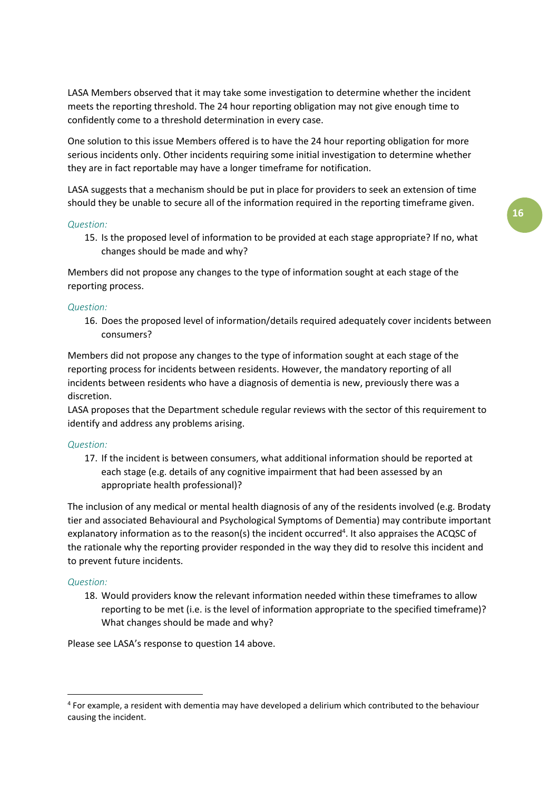LASA Members observed that it may take some investigation to determine whether the incident meets the reporting threshold. The 24 hour reporting obligation may not give enough time to confidently come to a threshold determination in every case.

One solution to this issue Members offered is to have the 24 hour reporting obligation for more serious incidents only. Other incidents requiring some initial investigation to determine whether they are in fact reportable may have a longer timeframe for notification.

LASA suggests that a mechanism should be put in place for providers to seek an extension of time should they be unable to secure all of the information required in the reporting timeframe given.

#### *Question:*

15. Is the proposed level of information to be provided at each stage appropriate? If no, what changes should be made and why?

Members did not propose any changes to the type of information sought at each stage of the reporting process.

#### *Question:*

16. Does the proposed level of information/details required adequately cover incidents between consumers?

Members did not propose any changes to the type of information sought at each stage of the reporting process for incidents between residents. However, the mandatory reporting of all incidents between residents who have a diagnosis of dementia is new, previously there was a discretion.

LASA proposes that the Department schedule regular reviews with the sector of this requirement to identify and address any problems arising.

#### *Question:*

17. If the incident is between consumers, what additional information should be reported at each stage (e.g. details of any cognitive impairment that had been assessed by an appropriate health professional)?

The inclusion of any medical or mental health diagnosis of any of the residents involved (e.g. Brodaty tier and associated Behavioural and Psychological Symptoms of Dementia) may contribute important explanatory information as to the reason(s) the incident occurred<sup>4</sup>. It also appraises the ACQSC of the rationale why the reporting provider responded in the way they did to resolve this incident and to prevent future incidents.

#### *Question:*

18. Would providers know the relevant information needed within these timeframes to allow reporting to be met (i.e. is the level of information appropriate to the specified timeframe)? What changes should be made and why?

Please see LASA's response to question 14 above.

!!!!!!!!!!!!!!!!!!!!!!!!!!!!!!!!!!!!!!!!!!!!!!!!!!!!!!!!!!

<sup>&</sup>lt;sup>4</sup> For example, a resident with dementia may have developed a delirium which contributed to the behaviour causing the incident.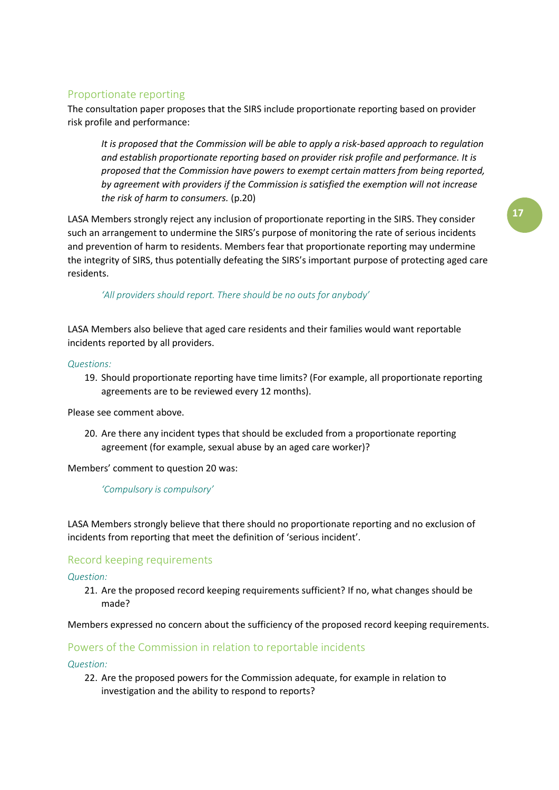# Proportionate reporting

The consultation paper proposes that the SIRS include proportionate reporting based on provider risk profile and performance:

*It is proposed that the Commission will be able to apply a risk-based approach to regulation and establish proportionate reporting based on provider risk profile and performance. It is proposed)that)the)Commission)have)powers)to)exempt)certain)matters)from)being)reported,)* by agreement with providers if the Commission is satisfied the exemption will not increase *the risk of harm to consumers.* (p.20)

LASA Members strongly reject any inclusion of proportionate reporting in the SIRS. They consider such an arrangement to undermine the SIRS's purpose of monitoring the rate of serious incidents and prevention of harm to residents. Members fear that proportionate reporting may undermine the integrity of SIRS, thus potentially defeating the SIRS's important purpose of protecting aged care residents.

### 'All providers should report. There should be no outs for anybody'

LASA Members also believe that aged care residents and their families would want reportable incidents reported by all providers.

*Questions:*

19. Should proportionate reporting have time limits? (For example, all proportionate reporting agreements are to be reviewed every 12 months).

Please see comment above.

20. Are there any incident types that should be excluded from a proportionate reporting agreement (for example, sexual abuse by an aged care worker)?

Members' comment to question 20 was:

*͚ŽŵƉƵůƐŽƌLJŝƐĐŽŵƉƵůƐŽƌLJ͛*

LASA Members strongly believe that there should no proportionate reporting and no exclusion of incidents from reporting that meet the definition of 'serious incident'.

#### Record keeping requirements

*Question:*

21. Are the proposed record keeping requirements sufficient? If no, what changes should be made?

Members expressed no concern about the sufficiency of the proposed record keeping requirements.

# Powers of the Commission in relation to reportable incidents

*Question:*

22. Are the proposed powers for the Commission adequate, for example in relation to investigation and the ability to respond to reports?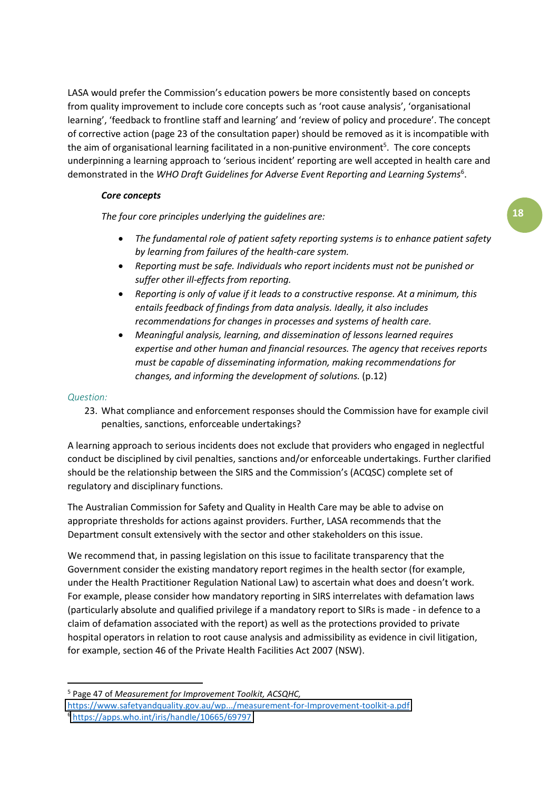LASA would prefer the Commission's education powers be more consistently based on concepts from quality improvement to include core concepts such as 'root cause analysis', 'organisational learning', 'feedback to frontline staff and learning' and 'review of policy and procedure'. The concept of corrective action (page 23 of the consultation paper) should be removed as it is incompatible with the aim of organisational learning facilitated in a non-punitive environment<sup>5</sup>. The core concepts underpinning a learning approach to 'serious incident' reporting are well accepted in health care and demonstrated in the WHO Draft Guidelines for Adverse Event Reporting and Learning Systems<sup>6</sup>.

#### *Core%concepts*

The four core principles underlying the guidelines are:

- x *The)fundamental)role)of)patient)safety)reporting)systems)is)to)enhance)patient)safety)* by learning from failures of the health-care system.
- **•** Reporting must be safe. Individuals who report incidents must not be punished or suffer other ill-effects from reporting.
- **•** Reporting is only of value if it leads to a constructive response. At a minimum, this *entails)feedback)of)findings)from)data)analysis.)Ideally,)it)also)includes)* recommendations for changes in processes and systems of health care.
- *Meaningful analysis, learning, and dissemination of lessons learned requires* expertise and other human and financial resources. The agency that receives reports *must be capable of disseminating information, making recommendations for changes, and informing the development of solutions.* (p.12)

#### *Question:*

23. What compliance and enforcement responses should the Commission have for example civil penalties, sanctions, enforceable undertakings?

A learning approach to serious incidents does not exclude that providers who engaged in neglectful conduct be disciplined by civil penalties, sanctions and/or enforceable undertakings. Further clarified should be the relationship between the SIRS and the Commission's (ACQSC) complete set of regulatory and disciplinary functions.

The Australian Commission for Safety and Quality in Health Care may be able to advise on appropriate thresholds for actions against providers. Further, LASA recommends that the Department consult extensively with the sector and other stakeholders on this issue.

We recommend that, in passing legislation on this issue to facilitate transparency that the Government consider the existing mandatory report regimes in the health sector (for example, under the Health Practitioner Regulation National Law) to ascertain what does and doesn't work. For example, please consider how mandatory reporting in SIRS interrelates with defamation laws (particularly absolute and qualified privilege if a mandatory report to SIRs is made - in defence to a claim of defamation associated with the report) as well as the protections provided to private hospital operators in relation to root cause analysis and admissibility as evidence in civil litigation, for example, section 46 of the Private Health Facilities Act 2007 (NSW).

!!!!!!!!!!!!!!!!!!!!!!!!!!!!!!!!!!!!!!!!!!!!!!!!!!!!!!!!!!

<sup>&</sup>lt;sup>5</sup> Page 47 of *Measurement for Improvement Toolkit, ACSQHC,* 

https://www.safetyandquality.gov.au/wp.../measurement-for-Improvement-toolkit-a.pdf <sup>6</sup> <https://apps.who.int/iris/handle/10665/69797>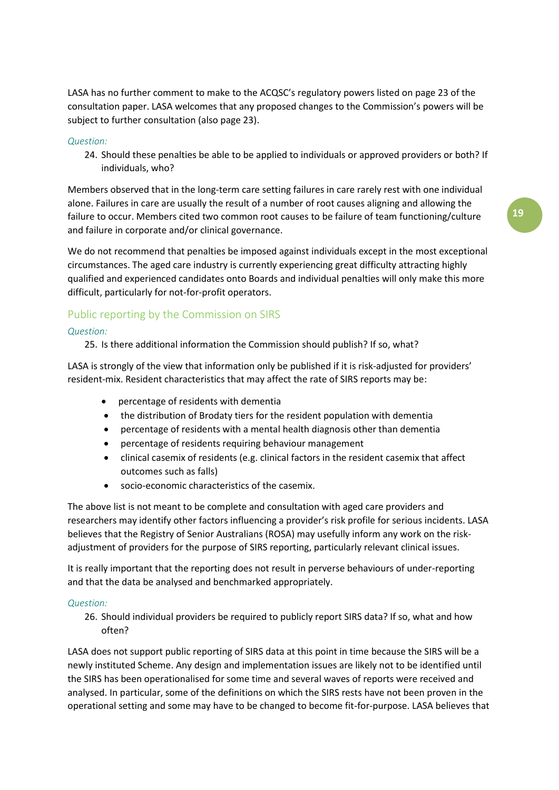LASA has no further comment to make to the ACQSC's regulatory powers listed on page 23 of the consultation paper. LASA welcomes that any proposed changes to the Commission's powers will be subiect to further consultation (also page 23).

#### Question:

24. Should these penalties be able to be applied to individuals or approved providers or both? If individuals, who?

Members observed that in the long-term care setting failures in care rarely rest with one individual alone. Failures in care are usually the result of a number of root causes aligning and allowing the failure to occur. Members cited two common root causes to be failure of team functioning/culture and failure in corporate and/or clinical governance.

We do not recommend that penalties be imposed against individuals except in the most exceptional circumstances. The aged care industry is currently experiencing great difficulty attracting highly qualified and experienced candidates onto Boards and individual penalties will only make this more difficult, particularly for not-for-profit operators.

# Public reporting by the Commission on SIRS

#### Question:

25. Is there additional information the Commission should publish? If so, what?

LASA is strongly of the view that information only be published if it is risk-adjusted for providers' resident-mix. Resident characteristics that may affect the rate of SIRS reports may be:

- percentage of residents with dementia
- the distribution of Brodaty tiers for the resident population with dementia
- percentage of residents with a mental health diagnosis other than dementia
- percentage of residents requiring behaviour management
- clinical casemix of residents (e.g. clinical factors in the resident casemix that affect outcomes such as falls)
- socio-economic characteristics of the casemix

The above list is not meant to be complete and consultation with aged care providers and researchers may identify other factors influencing a provider's risk profile for serious incidents. LASA believes that the Registry of Senior Australians (ROSA) may usefully inform any work on the riskadjustment of providers for the purpose of SIRS reporting, particularly relevant clinical issues.

It is really important that the reporting does not result in perverse behaviours of under-reporting and that the data be analysed and benchmarked appropriately.

#### Question:

26. Should individual providers be required to publicly report SIRS data? If so, what and how often?

LASA does not support public reporting of SIRS data at this point in time because the SIRS will be a newly instituted Scheme. Any design and implementation issues are likely not to be identified until the SIRS has been operationalised for some time and several waves of reports were received and analysed. In particular, some of the definitions on which the SIRS rests have not been proven in the operational setting and some may have to be changed to become fit-for-purpose. LASA believes that